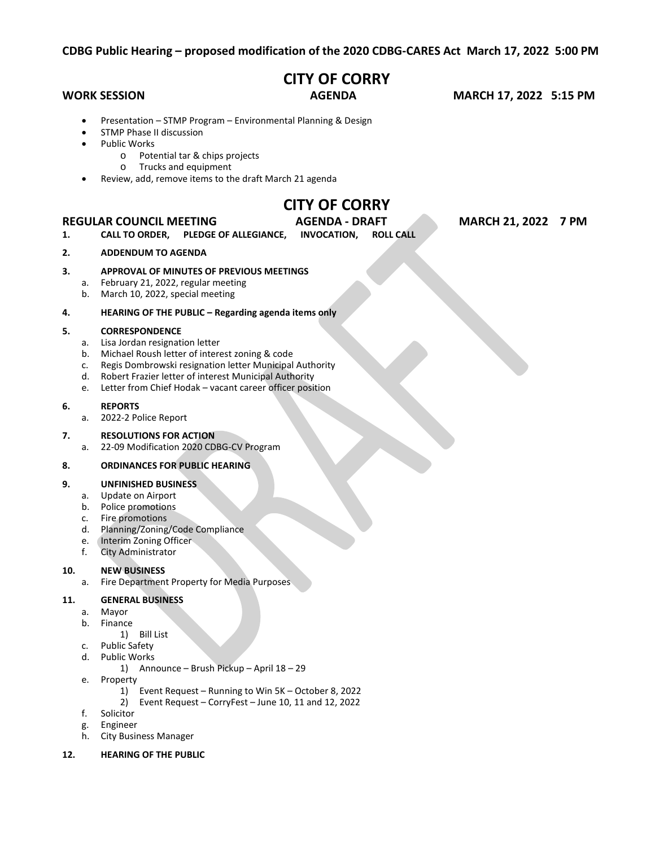# **CITY OF CORRY**

**WORK SESSION AGENDA MARCH 17, 2022 5:15 PM**

- Presentation STMP Program Environmental Planning & Design
- STMP Phase II discussion
- Public Works
	- o Potential tar & chips projects
	- o Trucks and equipment
- Review, add, remove items to the draft March 21 agenda

# **CITY OF CORRY**

### **REGULAR COUNCIL MEETING AGENDA - DRAFT MARCH 21, 2022 7 PM**

**1. CALL TO ORDER, PLEDGE OF ALLEGIANCE, INVOCATION, ROLL CALL**

# **2. ADDENDUM TO AGENDA**

## **3. APPROVAL OF MINUTES OF PREVIOUS MEETINGS**

- a. February 21, 2022, regular meeting
- b. March 10, 2022, special meeting

### **4. HEARING OF THE PUBLIC – Regarding agenda items only**

#### **5. CORRESPONDENCE**

- a. Lisa Jordan resignation letter
- b. Michael Roush letter of interest zoning & code
- c. Regis Dombrowski resignation letter Municipal Authority
- d. Robert Frazier letter of interest Municipal Authority
- e. Letter from Chief Hodak vacant career officer position

#### **6. REPORTS**

a. 2022-2 Police Report

# **7. RESOLUTIONS FOR ACTION**

a. 22-09 Modification 2020 CDBG-CV Program

### **8. ORDINANCES FOR PUBLIC HEARING**

# **9. UNFINISHED BUSINESS**

- a. Update on Airport
- b. Police promotions
- c. Fire promotions
- d. Planning/Zoning/Code Compliance
- e. Interim Zoning Officer<br>f. City Administrator
- City Administrator

# **10. NEW BUSINESS**

a. Fire Department Property for Media Purposes

# **11. GENERAL BUSINESS**

- a. Mayor
- b. Finance
- 1) Bill List
- c. Public Safety
- d. Public Works
	- 1) Announce Brush Pickup April 18 29
- e. Property
	- 1) Event Request Running to Win 5K October 8, 2022
	- 2) Event Request CorryFest June 10, 11 and 12, 2022
- f. Solicitor
- g. Engineer
- h. City Business Manager
- **12. HEARING OF THE PUBLIC**